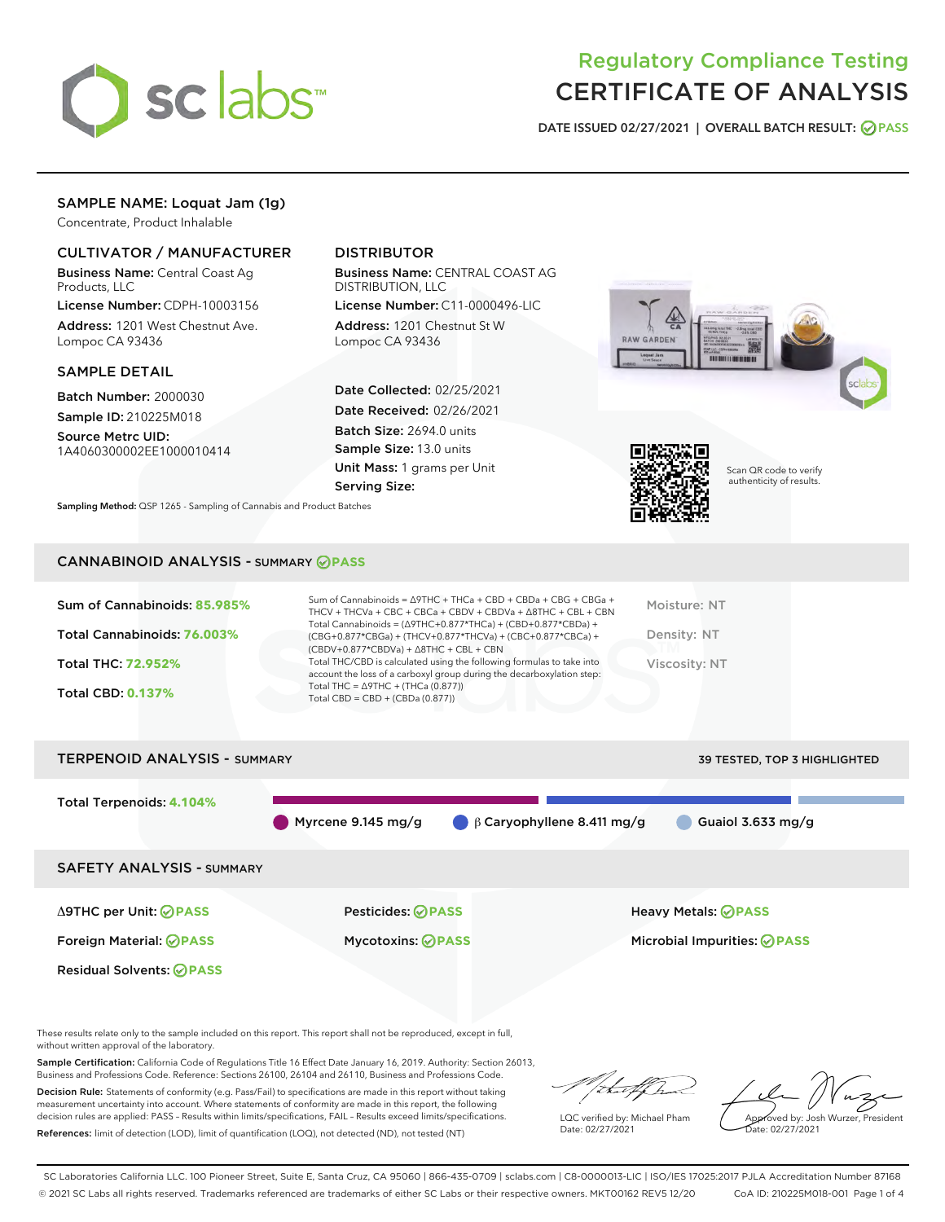

## Regulatory Compliance Testing CERTIFICATE OF ANALYSIS

DATE ISSUED 02/27/2021 | OVERALL BATCH RESULT: @ PASS

## SAMPLE NAME: Loquat Jam (1g)

Concentrate, Product Inhalable

### CULTIVATOR / MANUFACTURER

Business Name: Central Coast Ag Products, LLC

License Number: CDPH-10003156 Address: 1201 West Chestnut Ave. Lompoc CA 93436

#### SAMPLE DETAIL

Batch Number: 2000030 Sample ID: 210225M018

Source Metrc UID: 1A4060300002EE1000010414

## DISTRIBUTOR

Business Name: CENTRAL COAST AG DISTRIBUTION, LLC

License Number: C11-0000496-LIC Address: 1201 Chestnut St W Lompoc CA 93436

Date Collected: 02/25/2021 Date Received: 02/26/2021 Batch Size: 2694.0 units Sample Size: 13.0 units Unit Mass: 1 grams per Unit Serving Size:





Scan QR code to verify authenticity of results.

Sampling Method: QSP 1265 - Sampling of Cannabis and Product Batches

#### CANNABINOID ANALYSIS - SUMMARY **PASS**

| Sum of Cannabinoids: 85.985% | Sum of Cannabinoids = △9THC + THCa + CBD + CBDa + CBG + CBGa +<br>THCV + THCVa + CBC + CBCa + CBDV + CBDVa + $\Delta$ 8THC + CBL + CBN                                               | Moisture: NT  |
|------------------------------|--------------------------------------------------------------------------------------------------------------------------------------------------------------------------------------|---------------|
| Total Cannabinoids: 76.003%  | Total Cannabinoids = $(\Delta$ 9THC+0.877*THCa) + (CBD+0.877*CBDa) +<br>(CBG+0.877*CBGa) + (THCV+0.877*THCVa) + (CBC+0.877*CBCa) +<br>$(CBDV+0.877*CBDVa) + \Delta 8THC + CBL + CBN$ | Density: NT   |
| <b>Total THC: 72.952%</b>    | Total THC/CBD is calculated using the following formulas to take into<br>account the loss of a carboxyl group during the decarboxylation step:                                       | Viscosity: NT |
| <b>Total CBD: 0.137%</b>     | Total THC = $\triangle$ 9THC + (THCa (0.877))<br>Total CBD = $CBD + (CBDa (0.877))$                                                                                                  |               |
|                              |                                                                                                                                                                                      |               |

# TERPENOID ANALYSIS - SUMMARY 39 TESTED, TOP 3 HIGHLIGHTED Total Terpenoids: **4.104%** Myrcene 9.145 mg/g  $\bigcirc$  β Caryophyllene 8.411 mg/g Guaiol 3.633 mg/g SAFETY ANALYSIS - SUMMARY Δ9THC per Unit: **PASS** Pesticides: **PASS** Heavy Metals: **PASS** Foreign Material: **PASS** Mycotoxins: **PASS** Microbial Impurities: **PASS** Residual Solvents: **PASS**

These results relate only to the sample included on this report. This report shall not be reproduced, except in full, without written approval of the laboratory.

Sample Certification: California Code of Regulations Title 16 Effect Date January 16, 2019. Authority: Section 26013, Business and Professions Code. Reference: Sections 26100, 26104 and 26110, Business and Professions Code.

Decision Rule: Statements of conformity (e.g. Pass/Fail) to specifications are made in this report without taking measurement uncertainty into account. Where statements of conformity are made in this report, the following decision rules are applied: PASS – Results within limits/specifications, FAIL – Results exceed limits/specifications. References: limit of detection (LOD), limit of quantification (LOQ), not detected (ND), not tested (NT)

that fCh

LQC verified by: Michael Pham Date: 02/27/2021

Approved by: Josh Wurzer, President ate: 02/27/2021

SC Laboratories California LLC. 100 Pioneer Street, Suite E, Santa Cruz, CA 95060 | 866-435-0709 | sclabs.com | C8-0000013-LIC | ISO/IES 17025:2017 PJLA Accreditation Number 87168 © 2021 SC Labs all rights reserved. Trademarks referenced are trademarks of either SC Labs or their respective owners. MKT00162 REV5 12/20 CoA ID: 210225M018-001 Page 1 of 4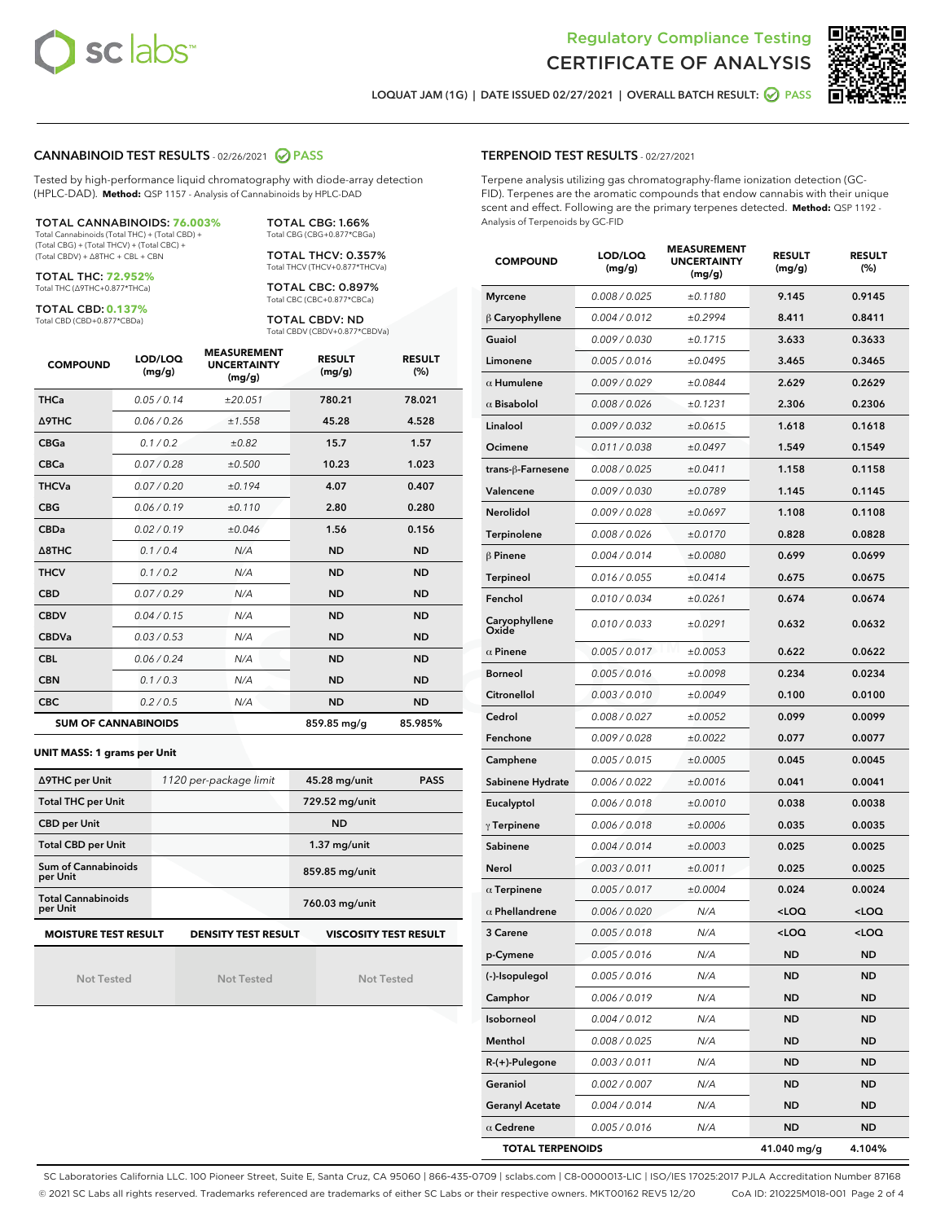



LOQUAT JAM (1G) | DATE ISSUED 02/27/2021 | OVERALL BATCH RESULT: @ PASS

#### CANNABINOID TEST RESULTS - 02/26/2021 2 PASS

Tested by high-performance liquid chromatography with diode-array detection (HPLC-DAD). **Method:** QSP 1157 - Analysis of Cannabinoids by HPLC-DAD

TOTAL CANNABINOIDS: **76.003%** Total Cannabinoids (Total THC) + (Total CBD) + (Total CBG) + (Total THCV) + (Total CBC) + (Total CBDV) + ∆8THC + CBL + CBN

TOTAL THC: **72.952%**

Total THC (∆9THC+0.877\*THCa)

TOTAL CBD: **0.137%** Total CBD (CBD+0.877\*CBDa)

TOTAL CBC: 0.897% Total CBC (CBC+0.877\*CBCa)

TOTAL CBG: 1.66% Total CBG (CBG+0.877\*CBGa) TOTAL THCV: 0.357% Total THCV (THCV+0.877\*THCVa)

TOTAL CBDV: ND Total CBDV (CBDV+0.877\*CBDVa)

| <b>COMPOUND</b>  | LOD/LOQ<br>(mg/g)          | <b>MEASUREMENT</b><br><b>UNCERTAINTY</b><br>(mg/g) | <b>RESULT</b><br>(mg/g) | <b>RESULT</b><br>(%) |
|------------------|----------------------------|----------------------------------------------------|-------------------------|----------------------|
| <b>THCa</b>      | 0.05/0.14                  | ±20.051                                            | 780.21                  | 78.021               |
| <b>A9THC</b>     | 0.06 / 0.26                | ±1.558                                             | 45.28                   | 4.528                |
| <b>CBGa</b>      | 0.1/0.2                    | ±0.82                                              | 15.7                    | 1.57                 |
| <b>CBCa</b>      | 0.07/0.28                  | ±0.500                                             | 10.23                   | 1.023                |
| <b>THCVa</b>     | 0.07/0.20                  | ±0.194                                             | 4.07                    | 0.407                |
| <b>CBG</b>       | 0.06/0.19                  | ±0.110                                             | 2.80                    | 0.280                |
| <b>CBDa</b>      | 0.02/0.19                  | ±0.046                                             | 1.56                    | 0.156                |
| $\triangle$ 8THC | 0.1/0.4                    | N/A                                                | <b>ND</b>               | <b>ND</b>            |
| <b>THCV</b>      | 0.1/0.2                    | N/A                                                | <b>ND</b>               | <b>ND</b>            |
| <b>CBD</b>       | 0.07/0.29                  | N/A                                                | <b>ND</b>               | <b>ND</b>            |
| <b>CBDV</b>      | 0.04 / 0.15                | N/A                                                | <b>ND</b>               | <b>ND</b>            |
| <b>CBDVa</b>     | 0.03/0.53                  | N/A                                                | <b>ND</b>               | <b>ND</b>            |
| <b>CBL</b>       | 0.06 / 0.24                | N/A                                                | <b>ND</b>               | <b>ND</b>            |
| <b>CBN</b>       | 0.1/0.3                    | N/A                                                | <b>ND</b>               | <b>ND</b>            |
| <b>CBC</b>       | 0.2 / 0.5                  | N/A                                                | <b>ND</b>               | <b>ND</b>            |
|                  | <b>SUM OF CANNABINOIDS</b> |                                                    | 859.85 mg/g             | 85.985%              |

#### **UNIT MASS: 1 grams per Unit**

| ∆9THC per Unit                         | 1120 per-package limit     | 45.28 mg/unit<br><b>PASS</b> |
|----------------------------------------|----------------------------|------------------------------|
| <b>Total THC per Unit</b>              |                            | 729.52 mg/unit               |
| <b>CBD per Unit</b>                    |                            | <b>ND</b>                    |
| <b>Total CBD per Unit</b>              |                            | $1.37$ mg/unit               |
| <b>Sum of Cannabinoids</b><br>per Unit |                            | 859.85 mg/unit               |
| <b>Total Cannabinoids</b><br>per Unit  |                            | 760.03 mg/unit               |
| <b>MOISTURE TEST RESULT</b>            | <b>DENSITY TEST RESULT</b> | <b>VISCOSITY TEST RESULT</b> |

Not Tested

**MOISTURE TEST RESULT**

Not Tested

Not Tested

#### TERPENOID TEST RESULTS - 02/27/2021

Terpene analysis utilizing gas chromatography-flame ionization detection (GC-FID). Terpenes are the aromatic compounds that endow cannabis with their unique scent and effect. Following are the primary terpenes detected. **Method:** QSP 1192 - Analysis of Terpenoids by GC-FID

| <b>COMPOUND</b>         | LOD/LOQ<br>(mg/g) | <b>MEASUREMENT</b><br><b>UNCERTAINTY</b><br>(mg/g) | <b>RESULT</b><br>(mg/g)                         | <b>RESULT</b><br>(%) |
|-------------------------|-------------------|----------------------------------------------------|-------------------------------------------------|----------------------|
| <b>Myrcene</b>          | 0.008 / 0.025     | ±0.1180                                            | 9.145                                           | 0.9145               |
| $\upbeta$ Caryophyllene | 0.004 / 0.012     | ±0.2994                                            | 8.411                                           | 0.8411               |
| Guaiol                  | 0.009 / 0.030     | ±0.1715                                            | 3.633                                           | 0.3633               |
| Limonene                | 0.005 / 0.016     | ±0.0495                                            | 3.465                                           | 0.3465               |
| $\alpha$ Humulene       | 0.009 / 0.029     | ±0.0844                                            | 2.629                                           | 0.2629               |
| $\alpha$ Bisabolol      | 0.008 / 0.026     | ±0.1231                                            | 2.306                                           | 0.2306               |
| Linalool                | 0.009 / 0.032     | ±0.0615                                            | 1.618                                           | 0.1618               |
| Ocimene                 | 0.011 / 0.038     | ±0.0497                                            | 1.549                                           | 0.1549               |
| trans-ß-Farnesene       | 0.008 / 0.025     | ±0.0411                                            | 1.158                                           | 0.1158               |
| Valencene               | 0.009 / 0.030     | ±0.0789                                            | 1.145                                           | 0.1145               |
| Nerolidol               | 0.009 / 0.028     | ±0.0697                                            | 1.108                                           | 0.1108               |
| Terpinolene             | 0.008 / 0.026     | ±0.0170                                            | 0.828                                           | 0.0828               |
| $\beta$ Pinene          | 0.004 / 0.014     | ±0.0080                                            | 0.699                                           | 0.0699               |
| Terpineol               | 0.016 / 0.055     | ±0.0414                                            | 0.675                                           | 0.0675               |
| Fenchol                 | 0.010 / 0.034     | ±0.0261                                            | 0.674                                           | 0.0674               |
| Caryophyllene<br>Oxide  | 0.010 / 0.033     | ±0.0291                                            | 0.632                                           | 0.0632               |
| $\alpha$ Pinene         | 0.005 / 0.017     | ±0.0053                                            | 0.622                                           | 0.0622               |
| <b>Borneol</b>          | 0.005 / 0.016     | ±0.0098                                            | 0.234                                           | 0.0234               |
| Citronellol             | 0.003 / 0.010     | ±0.0049                                            | 0.100                                           | 0.0100               |
| Cedrol                  | 0.008 / 0.027     | ±0.0052                                            | 0.099                                           | 0.0099               |
| Fenchone                | 0.009 / 0.028     | ±0.0022                                            | 0.077                                           | 0.0077               |
| Camphene                | 0.005 / 0.015     | ±0.0005                                            | 0.045                                           | 0.0045               |
| Sabinene Hydrate        | 0.006 / 0.022     | ±0.0016                                            | 0.041                                           | 0.0041               |
| Eucalyptol              | 0.006 / 0.018     | ±0.0010                                            | 0.038                                           | 0.0038               |
| $\gamma$ Terpinene      | 0.006 / 0.018     | ±0.0006                                            | 0.035                                           | 0.0035               |
| Sabinene                | 0.004 / 0.014     | ±0.0003                                            | 0.025                                           | 0.0025               |
| Nerol                   | 0.003 / 0.011     | ±0.0011                                            | 0.025                                           | 0.0025               |
| $\alpha$ Terpinene      | 0.005 / 0.017     | ±0.0004                                            | 0.024                                           | 0.0024               |
| $\alpha$ Phellandrene   | 0.006 / 0.020     | N/A                                                | <loq< th=""><th><loq< th=""></loq<></th></loq<> | <loq< th=""></loq<>  |
| 3 Carene                | 0.005/0.018       | N/A                                                | <loq< th=""><th><loq< th=""></loq<></th></loq<> | <loq< th=""></loq<>  |
| p-Cymene                | 0.005 / 0.016     | N/A                                                | ND                                              | ND                   |
| (-)-Isopulegol          | 0.005 / 0.016     | N/A                                                | ND                                              | ND                   |
| Camphor                 | 0.006 / 0.019     | N/A                                                | ND                                              | ND                   |
| Isoborneol              | 0.004 / 0.012     | N/A                                                | ND                                              | ND                   |
| Menthol                 | 0.008 / 0.025     | N/A                                                | ND                                              | ND                   |
| R-(+)-Pulegone          | 0.003 / 0.011     | N/A                                                | ND                                              | ND                   |
| Geraniol                | 0.002 / 0.007     | N/A                                                | ND                                              | ND                   |
| <b>Geranyl Acetate</b>  | 0.004 / 0.014     | N/A                                                | ND                                              | ND                   |
| $\alpha$ Cedrene        | 0.005 / 0.016     | N/A                                                | ND                                              | ND                   |
| <b>TOTAL TERPENOIDS</b> |                   |                                                    | 41.040 mg/g                                     | 4.104%               |

SC Laboratories California LLC. 100 Pioneer Street, Suite E, Santa Cruz, CA 95060 | 866-435-0709 | sclabs.com | C8-0000013-LIC | ISO/IES 17025:2017 PJLA Accreditation Number 87168 © 2021 SC Labs all rights reserved. Trademarks referenced are trademarks of either SC Labs or their respective owners. MKT00162 REV5 12/20 CoA ID: 210225M018-001 Page 2 of 4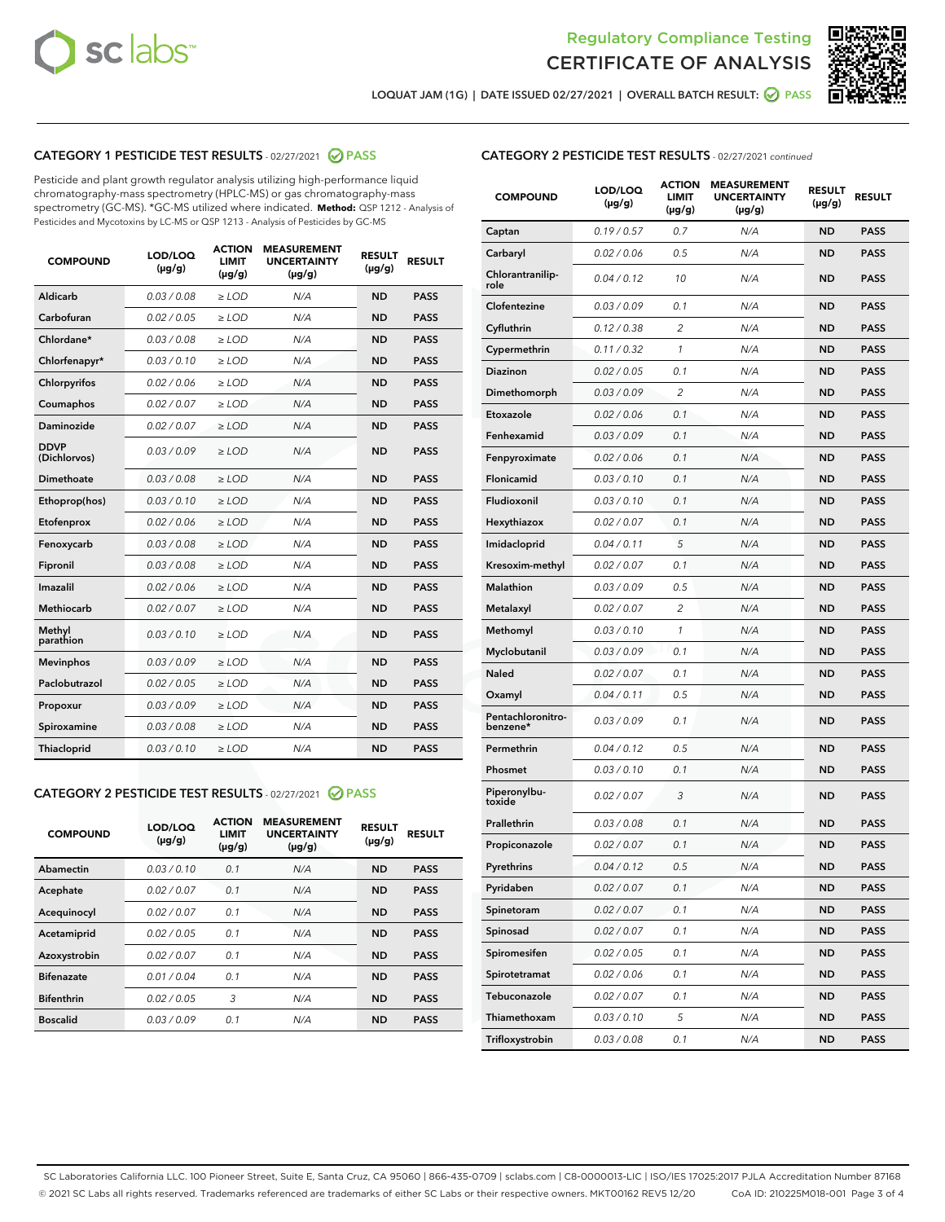



LOQUAT JAM (1G) | DATE ISSUED 02/27/2021 | OVERALL BATCH RESULT: 2 PASS

## CATEGORY 1 PESTICIDE TEST RESULTS - 02/27/2021 2 PASS

Pesticide and plant growth regulator analysis utilizing high-performance liquid chromatography-mass spectrometry (HPLC-MS) or gas chromatography-mass spectrometry (GC-MS). \*GC-MS utilized where indicated. **Method:** QSP 1212 - Analysis of Pesticides and Mycotoxins by LC-MS or QSP 1213 - Analysis of Pesticides by GC-MS

| <b>COMPOUND</b>             | LOD/LOQ<br>$(\mu g/g)$ | <b>ACTION</b><br><b>LIMIT</b><br>$(\mu g/g)$ | <b>MEASUREMENT</b><br><b>UNCERTAINTY</b><br>$(\mu g/g)$ | <b>RESULT</b><br>$(\mu g/g)$ | <b>RESULT</b> |
|-----------------------------|------------------------|----------------------------------------------|---------------------------------------------------------|------------------------------|---------------|
| Aldicarb                    | 0.03 / 0.08            | $\ge$ LOD                                    | N/A                                                     | <b>ND</b>                    | <b>PASS</b>   |
| Carbofuran                  | 0.02 / 0.05            | $\ge$ LOD                                    | N/A                                                     | <b>ND</b>                    | <b>PASS</b>   |
| Chlordane*                  | 0.03 / 0.08            | $\ge$ LOD                                    | N/A                                                     | <b>ND</b>                    | <b>PASS</b>   |
| Chlorfenapyr*               | 0.03/0.10              | $\ge$ LOD                                    | N/A                                                     | <b>ND</b>                    | <b>PASS</b>   |
| Chlorpyrifos                | 0.02 / 0.06            | $\ge$ LOD                                    | N/A                                                     | <b>ND</b>                    | <b>PASS</b>   |
| Coumaphos                   | 0.02 / 0.07            | $\ge$ LOD                                    | N/A                                                     | <b>ND</b>                    | <b>PASS</b>   |
| Daminozide                  | 0.02 / 0.07            | $\ge$ LOD                                    | N/A                                                     | <b>ND</b>                    | <b>PASS</b>   |
| <b>DDVP</b><br>(Dichlorvos) | 0.03/0.09              | $\ge$ LOD                                    | N/A                                                     | <b>ND</b>                    | <b>PASS</b>   |
| Dimethoate                  | 0.03 / 0.08            | $>$ LOD                                      | N/A                                                     | <b>ND</b>                    | <b>PASS</b>   |
| Ethoprop(hos)               | 0.03/0.10              | $\ge$ LOD                                    | N/A                                                     | <b>ND</b>                    | <b>PASS</b>   |
| Etofenprox                  | 0.02/0.06              | $>$ LOD                                      | N/A                                                     | <b>ND</b>                    | <b>PASS</b>   |
| Fenoxycarb                  | 0.03 / 0.08            | $\geq$ LOD                                   | N/A                                                     | <b>ND</b>                    | <b>PASS</b>   |
| Fipronil                    | 0.03 / 0.08            | $>$ LOD                                      | N/A                                                     | <b>ND</b>                    | <b>PASS</b>   |
| Imazalil                    | 0.02 / 0.06            | $\ge$ LOD                                    | N/A                                                     | <b>ND</b>                    | <b>PASS</b>   |
| Methiocarb                  | 0.02 / 0.07            | $\ge$ LOD                                    | N/A                                                     | <b>ND</b>                    | <b>PASS</b>   |
| Methyl<br>parathion         | 0.03/0.10              | $\ge$ LOD                                    | N/A                                                     | <b>ND</b>                    | <b>PASS</b>   |
| <b>Mevinphos</b>            | 0.03/0.09              | $\ge$ LOD                                    | N/A                                                     | <b>ND</b>                    | <b>PASS</b>   |
| Paclobutrazol               | 0.02 / 0.05            | $\ge$ LOD                                    | N/A                                                     | <b>ND</b>                    | <b>PASS</b>   |
| Propoxur                    | 0.03/0.09              | $\ge$ LOD                                    | N/A                                                     | <b>ND</b>                    | <b>PASS</b>   |
| Spiroxamine                 | 0.03 / 0.08            | $\ge$ LOD                                    | N/A                                                     | <b>ND</b>                    | <b>PASS</b>   |
| <b>Thiacloprid</b>          | 0.03/0.10              | $\ge$ LOD                                    | N/A                                                     | <b>ND</b>                    | <b>PASS</b>   |

#### CATEGORY 2 PESTICIDE TEST RESULTS - 02/27/2021 @ PASS

| <b>COMPOUND</b>   | LOD/LOQ<br>$(\mu g/g)$ | <b>ACTION</b><br><b>LIMIT</b><br>$(\mu g/g)$ | <b>MEASUREMENT</b><br><b>UNCERTAINTY</b><br>$(\mu g/g)$ | <b>RESULT</b><br>$(\mu g/g)$ | <b>RESULT</b> |
|-------------------|------------------------|----------------------------------------------|---------------------------------------------------------|------------------------------|---------------|
| Abamectin         | 0.03/0.10              | 0.1                                          | N/A                                                     | <b>ND</b>                    | <b>PASS</b>   |
| Acephate          | 0.02/0.07              | 0.1                                          | N/A                                                     | <b>ND</b>                    | <b>PASS</b>   |
| Acequinocyl       | 0.02/0.07              | 0.1                                          | N/A                                                     | <b>ND</b>                    | <b>PASS</b>   |
| Acetamiprid       | 0.02/0.05              | 0.1                                          | N/A                                                     | <b>ND</b>                    | <b>PASS</b>   |
| Azoxystrobin      | 0.02/0.07              | 0.1                                          | N/A                                                     | <b>ND</b>                    | <b>PASS</b>   |
| <b>Bifenazate</b> | 0.01/0.04              | 0.1                                          | N/A                                                     | <b>ND</b>                    | <b>PASS</b>   |
| <b>Bifenthrin</b> | 0.02/0.05              | 3                                            | N/A                                                     | <b>ND</b>                    | <b>PASS</b>   |
| <b>Boscalid</b>   | 0.03/0.09              | 0.1                                          | N/A                                                     | <b>ND</b>                    | <b>PASS</b>   |

| <b>CATEGORY 2 PESTICIDE TEST RESULTS</b> - 02/27/2021 continued |
|-----------------------------------------------------------------|
|-----------------------------------------------------------------|

| <b>COMPOUND</b>               | LOD/LOQ<br>$(\mu g/g)$ | <b>ACTION</b><br>LIMIT<br>$(\mu g/g)$ | <b>MEASUREMENT</b><br><b>UNCERTAINTY</b><br>(µg/g) | <b>RESULT</b><br>(µg/g) | <b>RESULT</b> |
|-------------------------------|------------------------|---------------------------------------|----------------------------------------------------|-------------------------|---------------|
| Captan                        | 0.19/0.57              | 0.7                                   | N/A                                                | <b>ND</b>               | <b>PASS</b>   |
| Carbaryl                      | 0.02 / 0.06            | 0.5                                   | N/A                                                | ND                      | <b>PASS</b>   |
| Chlorantranilip-<br>role      | 0.04/0.12              | 10                                    | N/A                                                | ND                      | <b>PASS</b>   |
| Clofentezine                  | 0.03 / 0.09            | 0.1                                   | N/A                                                | ND                      | <b>PASS</b>   |
| Cyfluthrin                    | 0.12 / 0.38            | 2                                     | N/A                                                | ND                      | <b>PASS</b>   |
| Cypermethrin                  | 0.11 / 0.32            | 1                                     | N/A                                                | ND                      | <b>PASS</b>   |
| <b>Diazinon</b>               | 0.02 / 0.05            | 0.1                                   | N/A                                                | ND                      | <b>PASS</b>   |
| Dimethomorph                  | 0.03 / 0.09            | 2                                     | N/A                                                | ND                      | <b>PASS</b>   |
| Etoxazole                     | 0.02 / 0.06            | 0.1                                   | N/A                                                | ND                      | <b>PASS</b>   |
| Fenhexamid                    | 0.03 / 0.09            | 0.1                                   | N/A                                                | ND                      | <b>PASS</b>   |
| Fenpyroximate                 | 0.02 / 0.06            | 0.1                                   | N/A                                                | ND                      | <b>PASS</b>   |
| <b>Flonicamid</b>             | 0.03 / 0.10            | 0.1                                   | N/A                                                | ND                      | <b>PASS</b>   |
| Fludioxonil                   | 0.03/0.10              | 0.1                                   | N/A                                                | ND                      | <b>PASS</b>   |
| Hexythiazox                   | 0.02 / 0.07            | 0.1                                   | N/A                                                | ND                      | <b>PASS</b>   |
| Imidacloprid                  | 0.04/0.11              | 5                                     | N/A                                                | ND                      | <b>PASS</b>   |
| Kresoxim-methyl               | 0.02 / 0.07            | 0.1                                   | N/A                                                | ND                      | <b>PASS</b>   |
| <b>Malathion</b>              | 0.03 / 0.09            | 0.5                                   | N/A                                                | ND                      | <b>PASS</b>   |
| Metalaxyl                     | 0.02 / 0.07            | 2                                     | N/A                                                | ND                      | <b>PASS</b>   |
| Methomyl                      | 0.03 / 0.10            | 1                                     | N/A                                                | ND                      | <b>PASS</b>   |
| Myclobutanil                  | 0.03 / 0.09            | 0.1                                   | N/A                                                | ND                      | PASS          |
| <b>Naled</b>                  | 0.02 / 0.07            | 0.1                                   | N/A                                                | ND                      | <b>PASS</b>   |
| Oxamyl                        | 0.04 / 0.11            | 0.5                                   | N/A                                                | ND                      | <b>PASS</b>   |
| Pentachloronitro-<br>benzene* | 0.03 / 0.09            | 0.1                                   | N/A                                                | ND                      | <b>PASS</b>   |
| Permethrin                    | 0.04 / 0.12            | 0.5                                   | N/A                                                | ND                      | <b>PASS</b>   |
| Phosmet                       | 0.03 / 0.10            | 0.1                                   | N/A                                                | ND                      | PASS          |
| Piperonylbu-<br>toxide        | 0.02 / 0.07            | 3                                     | N/A                                                | ND                      | <b>PASS</b>   |
| Prallethrin                   | 0.03 / 0.08            | 0.1                                   | N/A                                                | ND                      | <b>PASS</b>   |
| Propiconazole                 | 0.02 / 0.07            | 0.1                                   | N/A                                                | ND                      | <b>PASS</b>   |
| Pyrethrins                    | 0.04 / 0.12            | 0.5                                   | N/A                                                | ND                      | PASS          |
| Pyridaben                     | 0.02 / 0.07            | 0.1                                   | N/A                                                | ND                      | <b>PASS</b>   |
| Spinetoram                    | 0.02 / 0.07            | 0.1                                   | N/A                                                | <b>ND</b>               | <b>PASS</b>   |
| Spinosad                      | 0.02 / 0.07            | 0.1                                   | N/A                                                | ND                      | <b>PASS</b>   |
| Spiromesifen                  | 0.02 / 0.05            | 0.1                                   | N/A                                                | ND                      | <b>PASS</b>   |
| Spirotetramat                 | 0.02 / 0.06            | 0.1                                   | N/A                                                | ND                      | <b>PASS</b>   |
| Tebuconazole                  | 0.02 / 0.07            | 0.1                                   | N/A                                                | ND                      | <b>PASS</b>   |
| Thiamethoxam                  | 0.03 / 0.10            | 5                                     | N/A                                                | ND                      | <b>PASS</b>   |
| Trifloxystrobin               | 0.03 / 0.08            | 0.1                                   | N/A                                                | ND                      | <b>PASS</b>   |